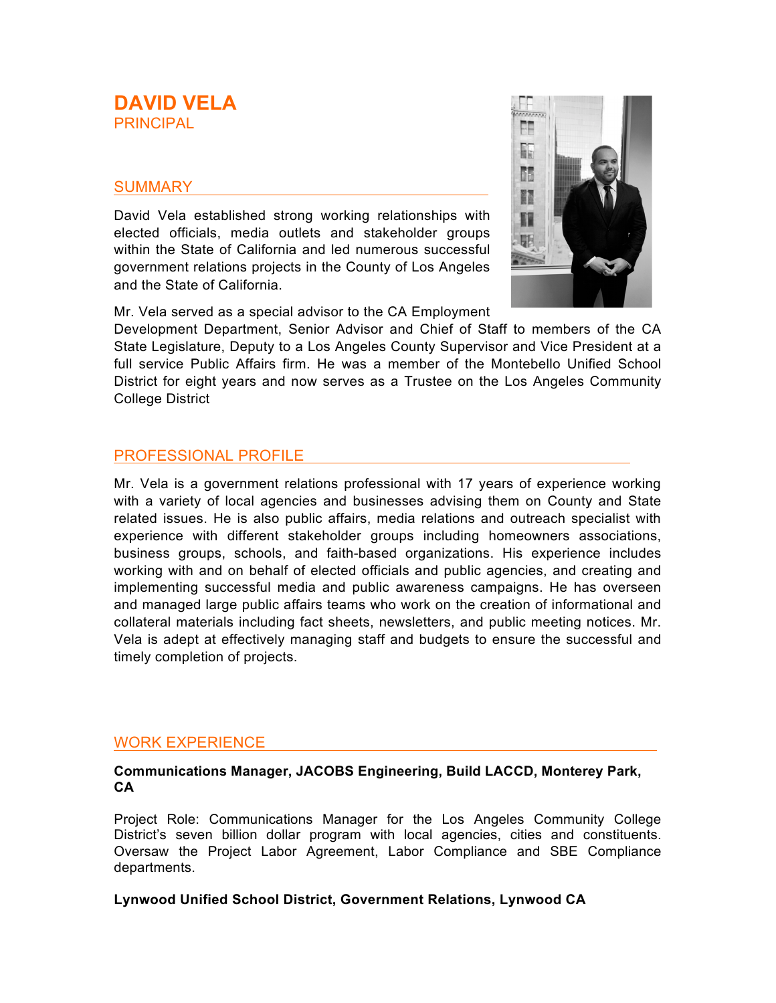# **DAVID VELA PRINCIPAL**

## SUMMARY

David Vela established strong working relationships with elected officials, media outlets and stakeholder groups within the State of California and led numerous successful government relations projects in the County of Los Angeles and the State of California.



Development Department, Senior Advisor and Chief of Staff to members of the CA State Legislature, Deputy to a Los Angeles County Supervisor and Vice President at a full service Public Affairs firm. He was a member of the Montebello Unified School District for eight years and now serves as a Trustee on the Los Angeles Community College District

# PROFESSIONAL PROFILE

Mr. Vela is a government relations professional with 17 years of experience working with a variety of local agencies and businesses advising them on County and State related issues. He is also public affairs, media relations and outreach specialist with experience with different stakeholder groups including homeowners associations, business groups, schools, and faith-based organizations. His experience includes working with and on behalf of elected officials and public agencies, and creating and implementing successful media and public awareness campaigns. He has overseen and managed large public affairs teams who work on the creation of informational and collateral materials including fact sheets, newsletters, and public meeting notices. Mr. Vela is adept at effectively managing staff and budgets to ensure the successful and timely completion of projects.

### WORK EXPERIENCE

#### **Communications Manager, JACOBS Engineering, Build LACCD, Monterey Park, CA**

Project Role: Communications Manager for the Los Angeles Community College District's seven billion dollar program with local agencies, cities and constituents. Oversaw the Project Labor Agreement, Labor Compliance and SBE Compliance departments.

#### **Lynwood Unified School District, Government Relations, Lynwood CA**